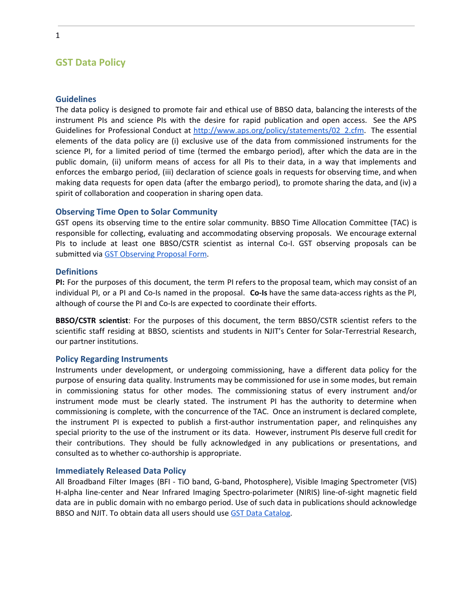# **GST Data Policy**

#### **Guidelines**

The data policy is designed to promote fair and ethical use of BBSO data, balancing the interests of the instrument PIs and science PIs with the desire for rapid publication and open access. See the APS Guidelines for Professional Conduct at http://www.aps.org/policy/statements/02 2.cfm. The essential elements of the data policy are (i) exclusive use of the data from commissioned instruments for the science PI, for a limited period of time (termed the embargo period), after which the data are in the public domain, (ii) uniform means of access for all PIs to their data, in a way that implements and enforces the embargo period, (iii) declaration of science goals in requests for observing time, and when making data requests for open data (after the embargo period), to promote sharing the data, and (iv) a spirit of collaboration and cooperation in sharing open data.

### **Observing Time Open to Solar Community**

GST opens its observing time to the entire solar community. BBSO Time Allocation Committee (TAC) is responsible for collecting, evaluating and accommodating observing proposals. We encourage external PIs to include at least one BBSO/CSTR scientist as internal Co-I. GST observing proposals can be submitted via GST [Observing](http://www.bbso.njit.edu/cgi-bin/NSTObsForm) Proposal Form.

#### **Definitions**

**PI:** For the purposes of this document, the term PI refers to the proposal team, which may consist of an individual PI, or a PI and Co-Is named in the proposal. **Co-Is** have the same data-access rights as the PI, although of course the PI and Co-Is are expected to coordinate their efforts.

**BBSO/CSTR scientist**: For the purposes of this document, the term BBSO/CSTR scientist refers to the scientific staff residing at BBSO, scientists and students in NJIT's Center for Solar-Terrestrial Research, our partner institutions.

#### **Policy Regarding Instruments**

Instruments under development, or undergoing commissioning, have a different data policy for the purpose of ensuring data quality. Instruments may be commissioned for use in some modes, but remain in commissioning status for other modes. The commissioning status of every instrument and/or instrument mode must be clearly stated. The instrument PI has the authority to determine when commissioning is complete, with the concurrence of the TAC. Once an instrument is declared complete, the instrument PI is expected to publish a first-author instrumentation paper, and relinquishes any special priority to the use of the instrument or its data. However, instrument PIs deserve full credit for their contributions. They should be fully acknowledged in any publications or presentations, and consulted as to whether co-authorship is appropriate.

#### **Immediately Released Data Policy**

All Broadband Filter Images (BFI - TiO band, G-band, Photosphere), Visible Imaging Spectrometer (VIS) H-alpha line-center and Near Infrared Imaging Spectro-polarimeter (NIRIS) line-of-sight magnetic field data are in public domain with no embargo period. Use of such data in publications should acknowledge BBSO and NJIT. To obtain data all users should use GST Data [Catalog.](http://www.bbso.njit.edu/~vayur/NST_catalog/)